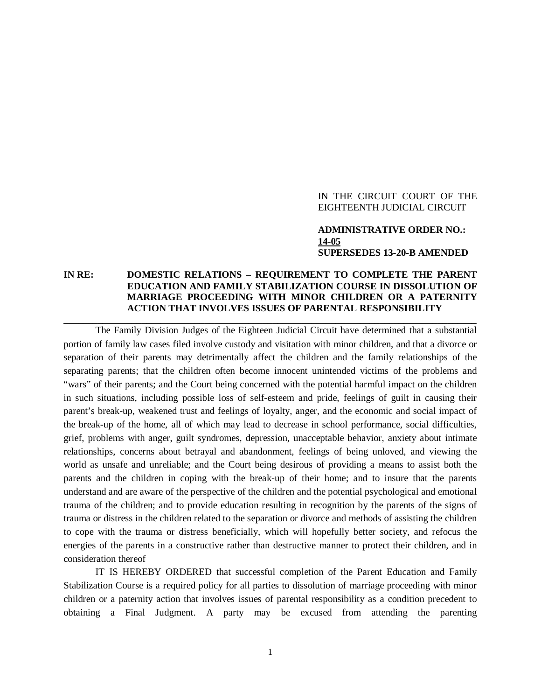### IN THE CIRCUIT COURT OF THE EIGHTEENTH JUDICIAL CIRCUIT

## **ADMINISTRATIVE ORDER NO.: 14-05 SUPERSEDES 13-20-B AMENDED**

# **IN RE: DOMESTIC RELATIONS – REQUIREMENT TO COMPLETE THE PARENT EDUCATION AND FAMILY STABILIZATION COURSE IN DISSOLUTION OF MARRIAGE PROCEEDING WITH MINOR CHILDREN OR A PATERNITY ACTION THAT INVOLVES ISSUES OF PARENTAL RESPONSIBILITY**

**\_\_\_\_\_\_\_\_\_\_\_\_\_\_\_\_\_\_\_\_\_\_\_\_\_\_\_\_\_\_\_\_\_\_\_\_\_\_\_\_\_\_\_\_\_\_\_\_\_\_\_\_\_\_\_\_\_\_\_\_\_\_\_\_\_\_\_\_\_\_\_\_\_\_\_\_\_\_\_\_\_\_\_\_\_**

The Family Division Judges of the Eighteen Judicial Circuit have determined that a substantial portion of family law cases filed involve custody and visitation with minor children, and that a divorce or separation of their parents may detrimentally affect the children and the family relationships of the separating parents; that the children often become innocent unintended victims of the problems and "wars" of their parents; and the Court being concerned with the potential harmful impact on the children in such situations, including possible loss of self-esteem and pride, feelings of guilt in causing their parent's break-up, weakened trust and feelings of loyalty, anger, and the economic and social impact of the break-up of the home, all of which may lead to decrease in school performance, social difficulties, grief, problems with anger, guilt syndromes, depression, unacceptable behavior, anxiety about intimate relationships, concerns about betrayal and abandonment, feelings of being unloved, and viewing the world as unsafe and unreliable; and the Court being desirous of providing a means to assist both the parents and the children in coping with the break-up of their home; and to insure that the parents understand and are aware of the perspective of the children and the potential psychological and emotional trauma of the children; and to provide education resulting in recognition by the parents of the signs of trauma or distress in the children related to the separation or divorce and methods of assisting the children to cope with the trauma or distress beneficially, which will hopefully better society, and refocus the energies of the parents in a constructive rather than destructive manner to protect their children, and in consideration thereof

IT IS HEREBY ORDERED that successful completion of the Parent Education and Family Stabilization Course is a required policy for all parties to dissolution of marriage proceeding with minor children or a paternity action that involves issues of parental responsibility as a condition precedent to obtaining a Final Judgment. A party may be excused from attending the parenting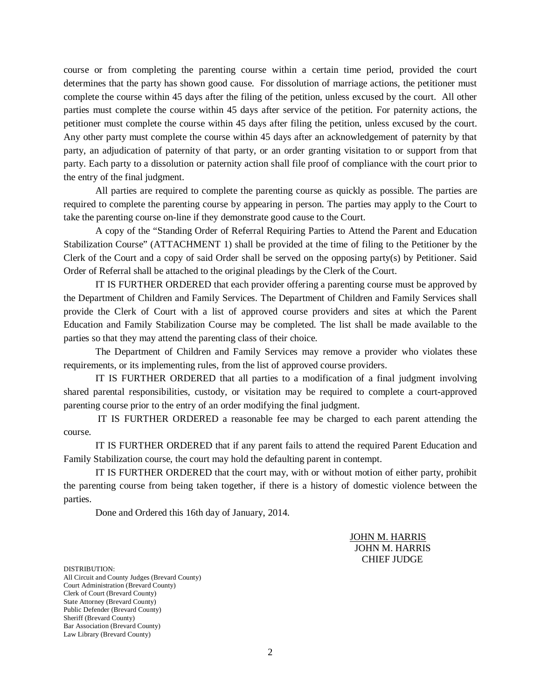course or from completing the parenting course within a certain time period, provided the court determines that the party has shown good cause. For dissolution of marriage actions, the petitioner must complete the course within 45 days after the filing of the petition, unless excused by the court. All other parties must complete the course within 45 days after service of the petition. For paternity actions, the petitioner must complete the course within 45 days after filing the petition, unless excused by the court. Any other party must complete the course within 45 days after an acknowledgement of paternity by that party, an adjudication of paternity of that party, or an order granting visitation to or support from that party. Each party to a dissolution or paternity action shall file proof of compliance with the court prior to the entry of the final judgment.

All parties are required to complete the parenting course as quickly as possible. The parties are required to complete the parenting course by appearing in person. The parties may apply to the Court to take the parenting course on-line if they demonstrate good cause to the Court.

A copy of the "Standing Order of Referral Requiring Parties to Attend the Parent and Education Stabilization Course" (ATTACHMENT 1) shall be provided at the time of filing to the Petitioner by the Clerk of the Court and a copy of said Order shall be served on the opposing party(s) by Petitioner. Said Order of Referral shall be attached to the original pleadings by the Clerk of the Court.

IT IS FURTHER ORDERED that each provider offering a parenting course must be approved by the Department of Children and Family Services. The Department of Children and Family Services shall provide the Clerk of Court with a list of approved course providers and sites at which the Parent Education and Family Stabilization Course may be completed. The list shall be made available to the parties so that they may attend the parenting class of their choice.

The Department of Children and Family Services may remove a provider who violates these requirements, or its implementing rules, from the list of approved course providers.

IT IS FURTHER ORDERED that all parties to a modification of a final judgment involving shared parental responsibilities, custody, or visitation may be required to complete a court-approved parenting course prior to the entry of an order modifying the final judgment.

IT IS FURTHER ORDERED a reasonable fee may be charged to each parent attending the course.

IT IS FURTHER ORDERED that if any parent fails to attend the required Parent Education and Family Stabilization course, the court may hold the defaulting parent in contempt.

IT IS FURTHER ORDERED that the court may, with or without motion of either party, prohibit the parenting course from being taken together, if there is a history of domestic violence between the parties.

Done and Ordered this 16th day of January, 2014.

JOHN M. HARRIS JOHN M. HARRIS CHIEF JUDGE

All Circuit and County Judges (Brevard County) Court Administration (Brevard County) Clerk of Court (Brevard County) State Attorney (Brevard County) Public Defender (Brevard County) Sheriff (Brevard County) Bar Association (Brevard County) Law Library (Brevard County)

DISTRIBUTION: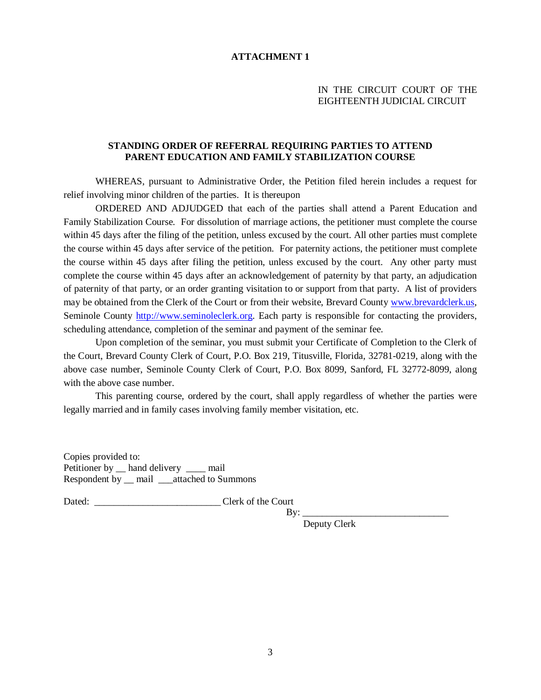# IN THE CIRCUIT COURT OF THE EIGHTEENTH JUDICIAL CIRCUIT

## **STANDING ORDER OF REFERRAL REQUIRING PARTIES TO ATTEND PARENT EDUCATION AND FAMILY STABILIZATION COURSE**

WHEREAS, pursuant to Administrative Order, the Petition filed herein includes a request for relief involving minor children of the parties. It is thereupon

ORDERED AND ADJUDGED that each of the parties shall attend a Parent Education and Family Stabilization Course. For dissolution of marriage actions, the petitioner must complete the course within 45 days after the filing of the petition, unless excused by the court. All other parties must complete the course within 45 days after service of the petition. For paternity actions, the petitioner must complete the course within 45 days after filing the petition, unless excused by the court. Any other party must complete the course within 45 days after an acknowledgement of paternity by that party, an adjudication of paternity of that party, or an order granting visitation to or support from that party. A list of providers may be obtained from the Clerk of the Court or from their website, Brevard County [www.brevardclerk.us,](http://www.brevardclerk.us/) Seminole County [http://www.seminoleclerk.org.](http://www.seminoleclerk.org/) Each party is responsible for contacting the providers, scheduling attendance, completion of the seminar and payment of the seminar fee.

Upon completion of the seminar, you must submit your Certificate of Completion to the Clerk of the Court, Brevard County Clerk of Court, P.O. Box 219, Titusville, Florida, 32781-0219, along with the above case number, Seminole County Clerk of Court, P.O. Box 8099, Sanford, FL 32772-8099, along with the above case number.

This parenting course, ordered by the court, shall apply regardless of whether the parties were legally married and in family cases involving family member visitation, etc.

Copies provided to: Petitioner by \_\_ hand delivery \_\_\_\_ mail Respondent by \_\_ mail \_\_\_attached to Summons

Dated: Clerk of the Court

 $By:$ 

Deputy Clerk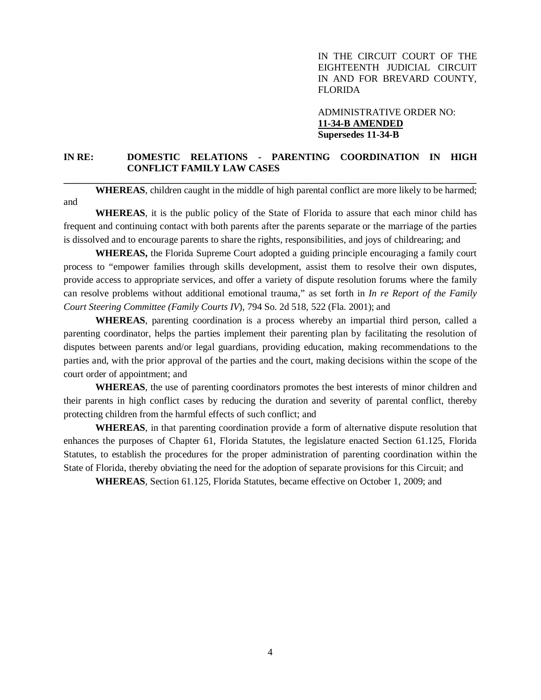IN THE CIRCUIT COURT OF THE EIGHTEENTH JUDICIAL CIRCUIT IN AND FOR BREVARD COUNTY, **FLORIDA** 

ADMINISTRATIVE ORDER NO: **11-34-B AMENDED Supersedes 11-34-B**

## **IN RE: DOMESTIC RELATIONS - PARENTING COORDINATION IN HIGH CONFLICT FAMILY LAW CASES**

**\_\_\_\_\_\_\_\_\_\_\_\_\_\_\_\_\_\_\_\_\_\_\_\_\_\_\_\_\_\_\_\_\_\_\_\_\_\_\_\_\_\_\_\_\_\_\_\_\_\_\_\_\_\_\_\_\_\_\_\_\_\_\_\_\_\_\_\_\_\_\_\_\_\_\_\_\_\_\_\_\_\_\_\_\_ WHEREAS**, children caught in the middle of high parental conflict are more likely to be harmed; and

**WHEREAS**, it is the public policy of the State of Florida to assure that each minor child has frequent and continuing contact with both parents after the parents separate or the marriage of the parties is dissolved and to encourage parents to share the rights, responsibilities, and joys of childrearing; and

**WHEREAS,** the Florida Supreme Court adopted a guiding principle encouraging a family court process to "empower families through skills development, assist them to resolve their own disputes, provide access to appropriate services, and offer a variety of dispute resolution forums where the family can resolve problems without additional emotional trauma," as set forth in *In re Report of the Family Court Steering Committee (Family Courts IV*), 794 So. 2d 518, 522 (Fla. 2001); and

**WHEREAS**, parenting coordination is a process whereby an impartial third person, called a parenting coordinator, helps the parties implement their parenting plan by facilitating the resolution of disputes between parents and/or legal guardians, providing education, making recommendations to the parties and, with the prior approval of the parties and the court, making decisions within the scope of the court order of appointment; and

**WHEREAS**, the use of parenting coordinators promotes the best interests of minor children and their parents in high conflict cases by reducing the duration and severity of parental conflict, thereby protecting children from the harmful effects of such conflict; and

**WHEREAS**, in that parenting coordination provide a form of alternative dispute resolution that enhances the purposes of Chapter 61, Florida Statutes, the legislature enacted Section 61.125, Florida Statutes, to establish the procedures for the proper administration of parenting coordination within the State of Florida, thereby obviating the need for the adoption of separate provisions for this Circuit; and

**WHEREAS**, Section 61.125, Florida Statutes, became effective on October 1, 2009; and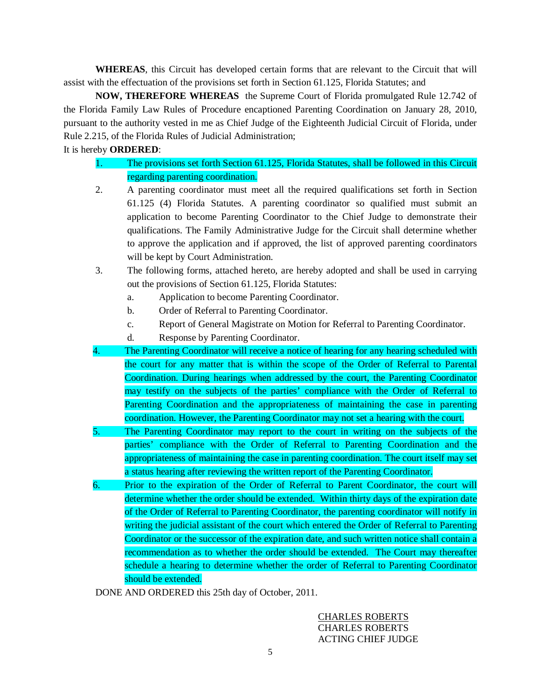**WHEREAS**, this Circuit has developed certain forms that are relevant to the Circuit that will assist with the effectuation of the provisions set forth in Section 61.125, Florida Statutes; and

**NOW, THEREFORE WHEREAS** the Supreme Court of Florida promulgated Rule 12.742 of the Florida Family Law Rules of Procedure encaptioned Parenting Coordination on January 28, 2010, pursuant to the authority vested in me as Chief Judge of the Eighteenth Judicial Circuit of Florida, under Rule 2.215, of the Florida Rules of Judicial Administration;

# It is hereby **ORDERED**:

- 1. The provisions set forth Section 61.125, Florida Statutes, shall be followed in this Circuit regarding parenting coordination.
- 2. A parenting coordinator must meet all the required qualifications set forth in Section 61.125 (4) Florida Statutes. A parenting coordinator so qualified must submit an application to become Parenting Coordinator to the Chief Judge to demonstrate their qualifications. The Family Administrative Judge for the Circuit shall determine whether to approve the application and if approved, the list of approved parenting coordinators will be kept by Court Administration.
- 3. The following forms, attached hereto, are hereby adopted and shall be used in carrying out the provisions of Section 61.125, Florida Statutes:
	- a. Application to become Parenting Coordinator.
	- b. Order of Referral to Parenting Coordinator.
	- c. Report of General Magistrate on Motion for Referral to Parenting Coordinator.
	- d. Response by Parenting Coordinator.
- 4. The Parenting Coordinator will receive a notice of hearing for any hearing scheduled with the court for any matter that is within the scope of the Order of Referral to Parental Coordination. During hearings when addressed by the court, the Parenting Coordinator may testify on the subjects of the parties' compliance with the Order of Referral to Parenting Coordination and the appropriateness of maintaining the case in parenting coordination. However, the Parenting Coordinator may not set a hearing with the court.
- 5. The Parenting Coordinator may report to the court in writing on the subjects of the parties' compliance with the Order of Referral to Parenting Coordination and the appropriateness of maintaining the case in parenting coordination. The court itself may set a status hearing after reviewing the written report of the Parenting Coordinator.
- 6. Prior to the expiration of the Order of Referral to Parent Coordinator, the court will determine whether the order should be extended. Within thirty days of the expiration date of the Order of Referral to Parenting Coordinator, the parenting coordinator will notify in writing the judicial assistant of the court which entered the Order of Referral to Parenting Coordinator or the successor of the expiration date, and such written notice shall contain a recommendation as to whether the order should be extended. The Court may thereafter schedule a hearing to determine whether the order of Referral to Parenting Coordinator should be extended.

DONE AND ORDERED this 25th day of October, 2011.

CHARLES ROBERTS CHARLES ROBERTS ACTING CHIEF JUDGE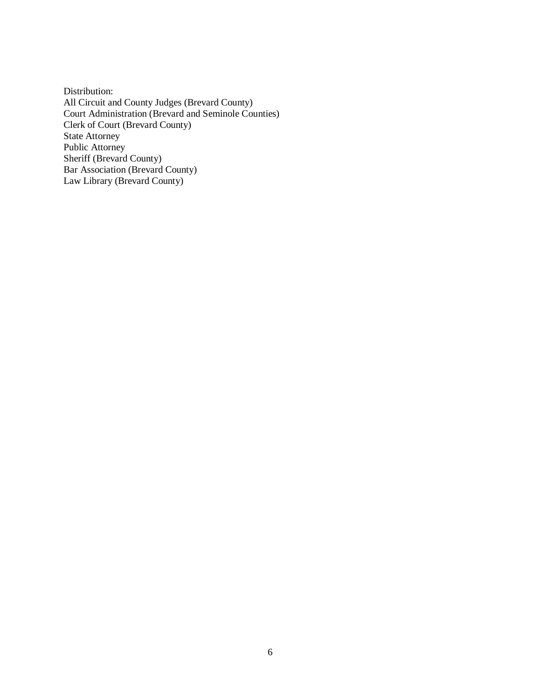Distribution: All Circuit and County Judges (Brevard County) Court Administration (Brevard and Seminole Counties) Clerk of Court (Brevard County) State Attorney Public Attorney Sheriff (Brevard County) Bar Association (Brevard County) Law Library (Brevard County)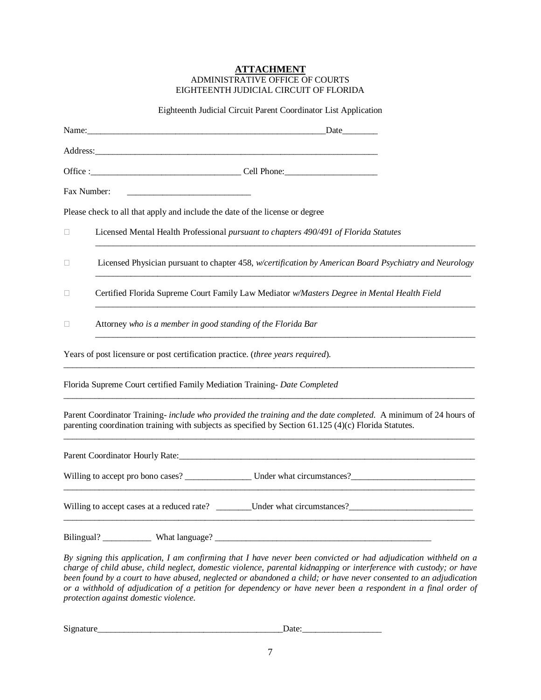### **ATTACHMENT** ADMINISTRATIVE OFFICE OF COURTS EIGHTEENTH JUDICIAL CIRCUIT OF FLORIDA

Eighteenth Judicial Circuit Parent Coordinator List Application

|             | Name: Date                                                                                                                                                                                                              |
|-------------|-------------------------------------------------------------------------------------------------------------------------------------------------------------------------------------------------------------------------|
|             |                                                                                                                                                                                                                         |
|             |                                                                                                                                                                                                                         |
| Fax Number: | <u> 1989 - Johann Barn, mars ann an t-Amhain Aonaich an t-Aonaich an t-Aonaich ann an t-Aonaich ann an t-Aonaich</u>                                                                                                    |
|             | Please check to all that apply and include the date of the license or degree                                                                                                                                            |
| $\Box$      | Licensed Mental Health Professional pursuant to chapters 490/491 of Florida Statutes                                                                                                                                    |
| $\Box$      | Licensed Physician pursuant to chapter 458, w/certification by American Board Psychiatry and Neurology                                                                                                                  |
| $\Box$      | Certified Florida Supreme Court Family Law Mediator w/Masters Degree in Mental Health Field                                                                                                                             |
| □           | Attorney who is a member in good standing of the Florida Bar                                                                                                                                                            |
|             | Years of post licensure or post certification practice. (three years required).                                                                                                                                         |
|             | Florida Supreme Court certified Family Mediation Training- Date Completed                                                                                                                                               |
|             | Parent Coordinator Training-include who provided the training and the date completed. A minimum of 24 hours of<br>parenting coordination training with subjects as specified by Section 61.125 (4)(c) Florida Statutes. |
|             | Parent Coordinator Hourly Rate: No. 1996. The Coordinator Hourly Rate:                                                                                                                                                  |
|             | Willing to accept pro bono cases? Under what circumstances?                                                                                                                                                             |
|             |                                                                                                                                                                                                                         |
|             | Bilingual? What language?                                                                                                                                                                                               |

*By signing this application, I am confirming that I have never been convicted or had adjudication withheld on a charge of child abuse, child neglect, domestic violence, parental kidnapping or interference with custody; or have been found by a court to have abused, neglected or abandoned a child; or have never consented to an adjudication or a withhold of adjudication of a petition for dependency or have never been a respondent in a final order of protection against domestic violence*.

Signature\_\_\_\_\_\_\_\_\_\_\_\_\_\_\_\_\_\_\_\_\_\_\_\_\_\_\_\_\_\_\_\_\_\_\_\_\_\_\_\_\_\_Date:\_\_\_\_\_\_\_\_\_\_\_\_\_\_\_\_\_\_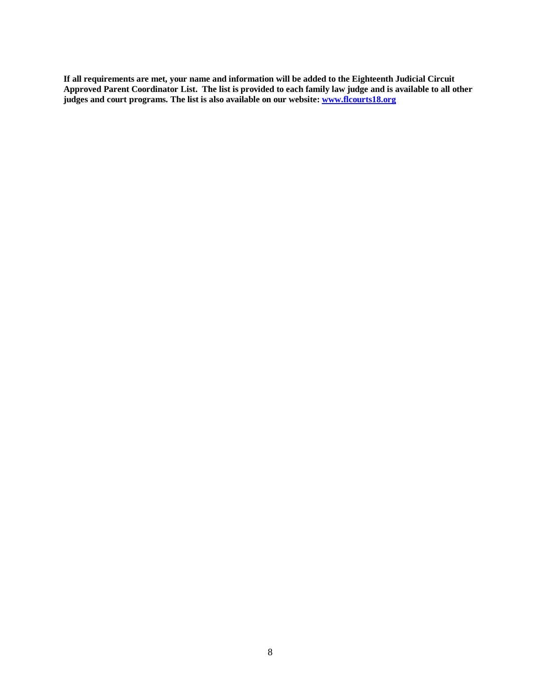**If all requirements are met, your name and information will be added to the Eighteenth Judicial Circuit Approved Parent Coordinator List. The list is provided to each family law judge and is available to all other judges and court programs. The list is also available on our website[: www.flcourts18.org](http://www.flcourts18.org/)**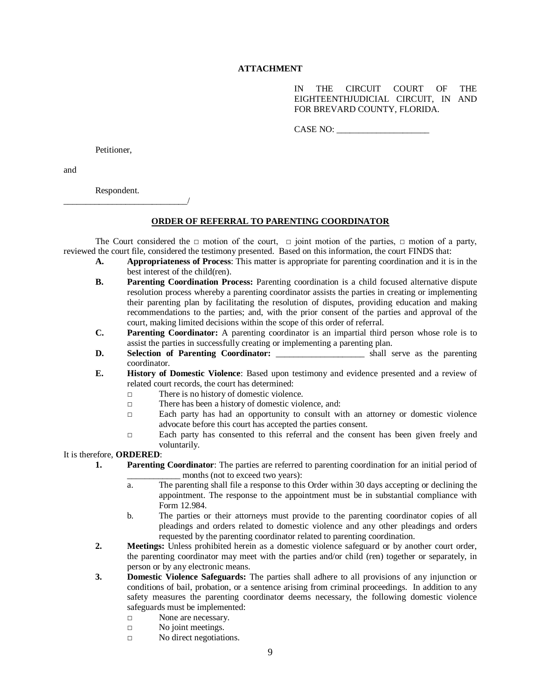IN THE CIRCUIT COURT OF THE EIGHTEENTHJUDICIAL CIRCUIT, IN AND FOR BREVARD COUNTY, FLORIDA.

CASE NO: \_\_\_\_\_\_\_\_\_\_\_\_\_\_\_\_\_\_\_\_\_

Petitioner,

and

Respondent.

\_\_\_\_\_\_\_\_\_\_\_\_\_\_\_\_\_\_\_\_\_\_\_\_\_\_\_\_/

#### **ORDER OF REFERRAL TO PARENTING COORDINATOR**

The Court considered the  $\Box$  motion of the court,  $\Box$  joint motion of the parties,  $\Box$  motion of a party, reviewed the court file, considered the testimony presented. Based on this information, the court FINDS that:

- **A. Appropriateness of Process**: This matter is appropriate for parenting coordination and it is in the best interest of the child(ren).
- **B. Parenting Coordination Process:** Parenting coordination is a child focused alternative dispute resolution process whereby a parenting coordinator assists the parties in creating or implementing their parenting plan by facilitating the resolution of disputes, providing education and making recommendations to the parties; and, with the prior consent of the parties and approval of the court, making limited decisions within the scope of this order of referral.
- **C. Parenting Coordinator:** A parenting coordinator is an impartial third person whose role is to assist the parties in successfully creating or implementing a parenting plan.
- **D. Selection of Parenting Coordinator: Letter as the parenting Selection of Parenting Coordinator: Letter as the parenting Selection** coordinator.
- **E. History of Domestic Violence**: Based upon testimony and evidence presented and a review of related court records, the court has determined:
	- □ There is no history of domestic violence.
	- □ There has been a history of domestic violence, and:
	- □ Each party has had an opportunity to consult with an attorney or domestic violence advocate before this court has accepted the parties consent.
	- □ Each party has consented to this referral and the consent has been given freely and voluntarily.

#### It is therefore, **ORDERED**:

- **1. Parenting Coordinator**: The parties are referred to parenting coordination for an initial period of months (not to exceed two years):
	- a. The parenting shall file a response to this Order within 30 days accepting or declining the appointment. The response to the appointment must be in substantial compliance with Form 12.984.
	- b. The parties or their attorneys must provide to the parenting coordinator copies of all pleadings and orders related to domestic violence and any other pleadings and orders requested by the parenting coordinator related to parenting coordination.
- **2. Meetings:** Unless prohibited herein as a domestic violence safeguard or by another court order, the parenting coordinator may meet with the parties and/or child (ren) together or separately, in person or by any electronic means.
- **3. Domestic Violence Safeguards:** The parties shall adhere to all provisions of any injunction or conditions of bail, probation, or a sentence arising from criminal proceedings. In addition to any safety measures the parenting coordinator deems necessary, the following domestic violence safeguards must be implemented:
	- □ None are necessary.
	- □ No joint meetings.
	- □ No direct negotiations.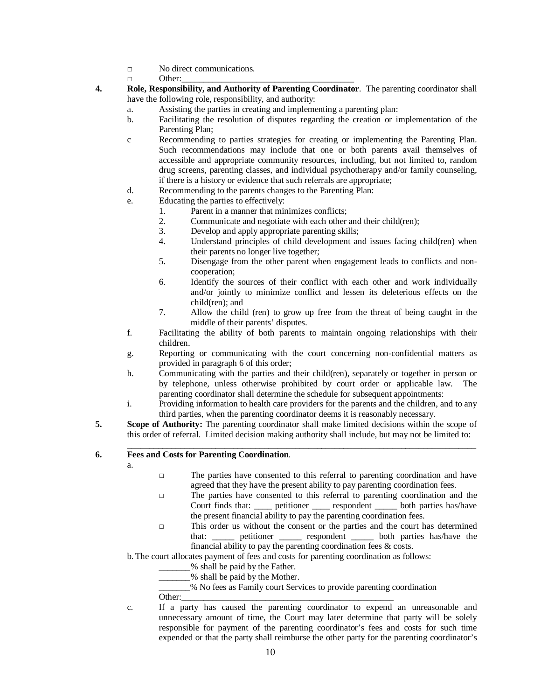- □ No direct communications.
- □ Other:\_\_\_\_\_\_\_\_\_\_\_\_\_\_\_\_\_\_\_\_\_\_\_\_\_\_\_\_\_\_\_\_\_\_\_\_\_\_\_
- **4. Role, Responsibility, and Authority of Parenting Coordinator**. The parenting coordinator shall have the following role, responsibility, and authority:
	- a. Assisting the parties in creating and implementing a parenting plan:
	- b. Facilitating the resolution of disputes regarding the creation or implementation of the Parenting Plan;
	- c Recommending to parties strategies for creating or implementing the Parenting Plan. Such recommendations may include that one or both parents avail themselves of accessible and appropriate community resources, including, but not limited to, random drug screens, parenting classes, and individual psychotherapy and/or family counseling, if there is a history or evidence that such referrals are appropriate;
	- d. Recommending to the parents changes to the Parenting Plan:
	- e. Educating the parties to effectively:
		- 1. Parent in a manner that minimizes conflicts;
		- 2. Communicate and negotiate with each other and their child(ren);
		- 3. Develop and apply appropriate parenting skills;
		- 4. Understand principles of child development and issues facing child(ren) when their parents no longer live together;
		- 5. Disengage from the other parent when engagement leads to conflicts and noncooperation;
		- 6. Identify the sources of their conflict with each other and work individually and/or jointly to minimize conflict and lessen its deleterious effects on the child(ren); and
		- 7. Allow the child (ren) to grow up free from the threat of being caught in the middle of their parents' disputes.
	- f. Facilitating the ability of both parents to maintain ongoing relationships with their children.
	- g. Reporting or communicating with the court concerning non-confidential matters as provided in paragraph 6 of this order;
	- h. Communicating with the parties and their child(ren), separately or together in person or by telephone, unless otherwise prohibited by court order or applicable law. The parenting coordinator shall determine the schedule for subsequent appointments:
	- i. Providing information to health care providers for the parents and the children, and to any third parties, when the parenting coordinator deems it is reasonably necessary.

 $\_$  ,  $\_$  ,  $\_$  ,  $\_$  ,  $\_$  ,  $\_$  ,  $\_$  ,  $\_$  ,  $\_$  ,  $\_$  ,  $\_$  ,  $\_$  ,  $\_$  ,  $\_$  ,  $\_$  ,  $\_$  ,  $\_$  ,  $\_$  ,  $\_$  ,  $\_$  ,  $\_$  ,  $\_$  ,  $\_$  ,  $\_$  ,  $\_$  ,  $\_$  ,  $\_$  ,  $\_$  ,  $\_$  ,  $\_$  ,  $\_$  ,  $\_$  ,  $\_$  ,  $\_$  ,  $\_$  ,  $\_$  ,  $\_$  ,

**5. Scope of Authority:** The parenting coordinator shall make limited decisions within the scope of this order of referral. Limited decision making authority shall include, but may not be limited to:

### **6. Fees and Costs for Parenting Coordination**.

- a.
- □ The parties have consented to this referral to parenting coordination and have agreed that they have the present ability to pay parenting coordination fees.
- □ The parties have consented to this referral to parenting coordination and the Court finds that: \_\_\_\_ petitioner \_\_\_\_ respondent \_\_\_\_\_ both parties has/have the present financial ability to pay the parenting coordination fees.
- □ This order us without the consent or the parties and the court has determined that: \_\_\_\_\_ petitioner \_\_\_\_\_ respondent \_\_\_\_\_ both parties has/have the financial ability to pay the parenting coordination fees & costs.

b. The court allocates payment of fees and costs for parenting coordination as follows:

- \_\_\_\_\_\_\_% shall be paid by the Father.
- \_\_\_\_\_\_\_% shall be paid by the Mother.

\_\_\_\_\_\_\_% No fees as Family court Services to provide parenting coordination

- Other:\_\_\_\_\_\_\_\_\_\_\_\_\_\_\_\_\_\_\_\_\_\_\_\_\_\_\_\_\_\_\_\_\_\_\_\_\_\_\_\_\_\_\_\_\_\_\_\_
- c. If a party has caused the parenting coordinator to expend an unreasonable and unnecessary amount of time, the Court may later determine that party will be solely responsible for payment of the parenting coordinator's fees and costs for such time expended or that the party shall reimburse the other party for the parenting coordinator's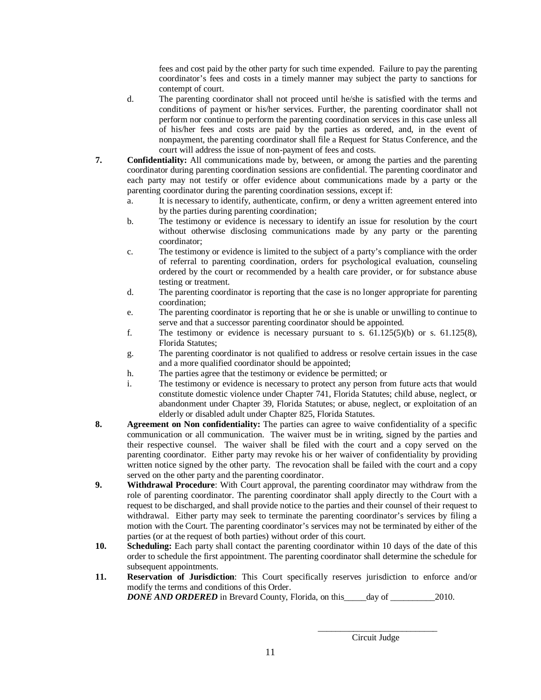fees and cost paid by the other party for such time expended. Failure to pay the parenting coordinator's fees and costs in a timely manner may subject the party to sanctions for contempt of court.

- d. The parenting coordinator shall not proceed until he/she is satisfied with the terms and conditions of payment or his/her services. Further, the parenting coordinator shall not perform nor continue to perform the parenting coordination services in this case unless all of his/her fees and costs are paid by the parties as ordered, and, in the event of nonpayment, the parenting coordinator shall file a Request for Status Conference, and the court will address the issue of non-payment of fees and costs.
- **7. Confidentiality:** All communications made by, between, or among the parties and the parenting coordinator during parenting coordination sessions are confidential. The parenting coordinator and each party may not testify or offer evidence about communications made by a party or the parenting coordinator during the parenting coordination sessions, except if:
	- a. It is necessary to identify, authenticate, confirm, or deny a written agreement entered into by the parties during parenting coordination;
	- b. The testimony or evidence is necessary to identify an issue for resolution by the court without otherwise disclosing communications made by any party or the parenting coordinator;
	- c. The testimony or evidence is limited to the subject of a party's compliance with the order of referral to parenting coordination, orders for psychological evaluation, counseling ordered by the court or recommended by a health care provider, or for substance abuse testing or treatment.
	- d. The parenting coordinator is reporting that the case is no longer appropriate for parenting coordination;
	- e. The parenting coordinator is reporting that he or she is unable or unwilling to continue to serve and that a successor parenting coordinator should be appointed.
	- f. The testimony or evidence is necessary pursuant to s.  $61.125(5)(b)$  or s.  $61.125(8)$ , Florida Statutes;
	- g. The parenting coordinator is not qualified to address or resolve certain issues in the case and a more qualified coordinator should be appointed;
	- h. The parties agree that the testimony or evidence be permitted; or
	- i. The testimony or evidence is necessary to protect any person from future acts that would constitute domestic violence under Chapter 741, Florida Statutes; child abuse, neglect, or abandonment under Chapter 39, Florida Statutes; or abuse, neglect, or exploitation of an elderly or disabled adult under Chapter 825, Florida Statutes.
- **8. Agreement on Non confidentiality:** The parties can agree to waive confidentiality of a specific communication or all communication. The waiver must be in writing, signed by the parties and their respective counsel. The waiver shall be filed with the court and a copy served on the parenting coordinator. Either party may revoke his or her waiver of confidentiality by providing written notice signed by the other party. The revocation shall be failed with the court and a copy served on the other party and the parenting coordinator.
- **9. Withdrawal Procedure**: With Court approval, the parenting coordinator may withdraw from the role of parenting coordinator. The parenting coordinator shall apply directly to the Court with a request to be discharged, and shall provide notice to the parties and their counsel of their request to withdrawal. Either party may seek to terminate the parenting coordinator's services by filing a motion with the Court. The parenting coordinator's services may not be terminated by either of the parties (or at the request of both parties) without order of this court.
- **10. Scheduling:** Each party shall contact the parenting coordinator within 10 days of the date of this order to schedule the first appointment. The parenting coordinator shall determine the schedule for subsequent appointments.
- **11. Reservation of Jurisdiction**: This Court specifically reserves jurisdiction to enforce and/or modify the terms and conditions of this Order.

**DONE AND ORDERED** in Brevard County, Florida, on this day of 2010.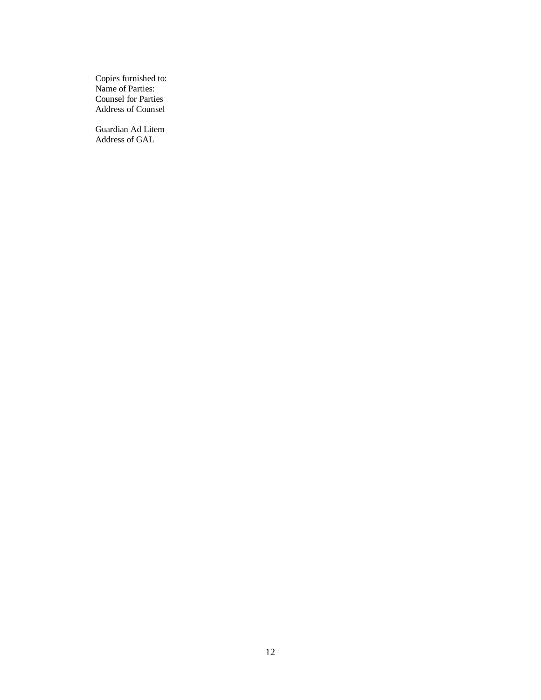Copies furnished to: Name of Parties: Counsel for Parties Address of Counsel

Guardian Ad Litem Address of GAL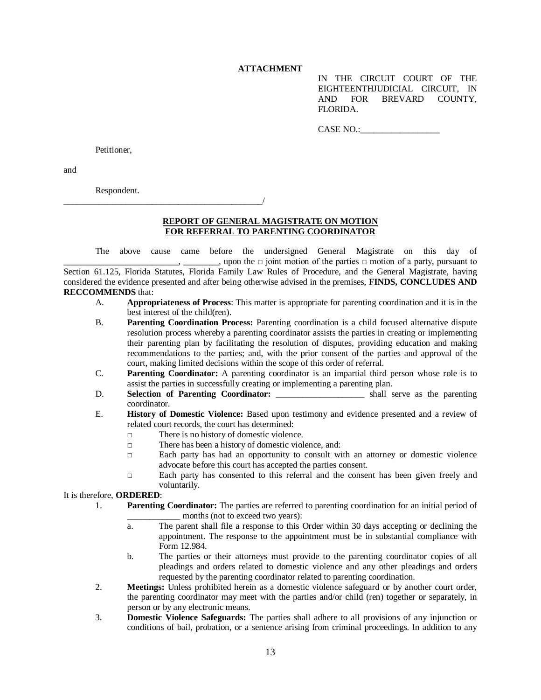IN THE CIRCUIT COURT OF THE EIGHTEENTHJUDICIAL CIRCUIT, IN AND FOR BREVARD COUNTY, FLORIDA.

CASE NO.:

Petitioner,

and

Respondent.

\_\_\_\_\_\_\_\_\_\_\_\_\_\_\_\_\_\_\_\_\_\_\_\_\_\_\_\_\_\_\_\_\_\_\_\_\_\_\_\_\_\_\_\_\_/

### **REPORT OF GENERAL MAGISTRATE ON MOTION FOR REFERRAL TO PARENTING COORDINATOR**

The above cause came before the undersigned General Magistrate on this day of , upon the  $\Box$  joint motion of the parties  $\Box$  motion of a party, pursuant to Section 61.125, Florida Statutes, Florida Family Law Rules of Procedure, and the General Magistrate, having

considered the evidence presented and after being otherwise advised in the premises, **FINDS, CONCLUDES AND RECCOMMENDS** that:

- A. **Appropriateness of Process**: This matter is appropriate for parenting coordination and it is in the best interest of the child(ren).
- B. **Parenting Coordination Process:** Parenting coordination is a child focused alternative dispute resolution process whereby a parenting coordinator assists the parties in creating or implementing their parenting plan by facilitating the resolution of disputes, providing education and making recommendations to the parties; and, with the prior consent of the parties and approval of the court, making limited decisions within the scope of this order of referral.
- C. **Parenting Coordinator:** A parenting coordinator is an impartial third person whose role is to assist the parties in successfully creating or implementing a parenting plan.<br>
Selection of Parenting Coordinator: shall serve as the parenting
- D. **Selection of Parenting Coordinator:** coordinator.
- E. **History of Domestic Violence:** Based upon testimony and evidence presented and a review of related court records, the court has determined:
	- □ There is no history of domestic violence.
	- □ There has been a history of domestic violence, and:
	- □ Each party has had an opportunity to consult with an attorney or domestic violence advocate before this court has accepted the parties consent.
	- □ Each party has consented to this referral and the consent has been given freely and voluntarily.

## It is therefore, **ORDERED**:

- 1. **Parenting Coordinator:** The parties are referred to parenting coordination for an initial period of months (not to exceed two years):
	- a. The parent shall file a response to this Order within 30 days accepting or declining the appointment. The response to the appointment must be in substantial compliance with Form 12.984.
	- b. The parties or their attorneys must provide to the parenting coordinator copies of all pleadings and orders related to domestic violence and any other pleadings and orders requested by the parenting coordinator related to parenting coordination.
- 2. **Meetings:** Unless prohibited herein as a domestic violence safeguard or by another court order, the parenting coordinator may meet with the parties and/or child (ren) together or separately, in person or by any electronic means.
- 3. **Domestic Violence Safeguards:** The parties shall adhere to all provisions of any injunction or conditions of bail, probation, or a sentence arising from criminal proceedings. In addition to any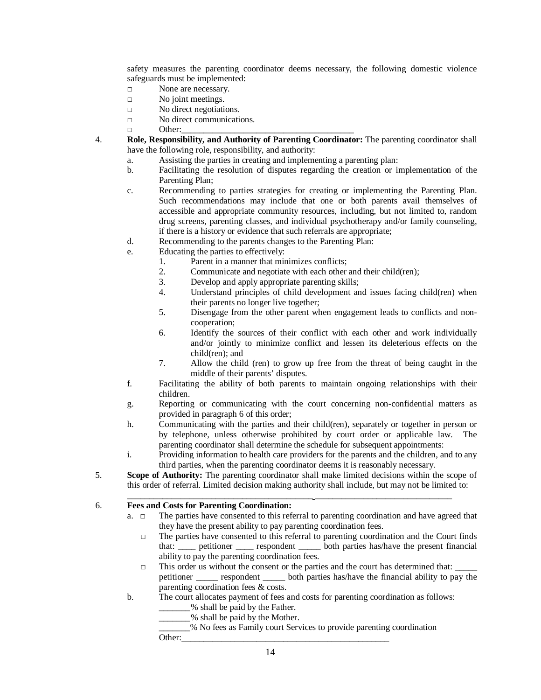safety measures the parenting coordinator deems necessary, the following domestic violence safeguards must be implemented:

- □ None are necessary.
- □ No joint meetings.
- □ No direct negotiations.
- □ No direct communications.
- □ Other:\_\_\_\_\_\_\_\_\_\_\_\_\_\_\_\_\_\_\_\_\_\_\_\_\_\_\_\_\_\_\_\_\_\_\_\_\_\_\_
- 4. **Role, Responsibility, and Authority of Parenting Coordinator:** The parenting coordinator shall have the following role, responsibility, and authority:
	- a. Assisting the parties in creating and implementing a parenting plan:
	- b. Facilitating the resolution of disputes regarding the creation or implementation of the Parenting Plan;
	- c. Recommending to parties strategies for creating or implementing the Parenting Plan. Such recommendations may include that one or both parents avail themselves of accessible and appropriate community resources, including, but not limited to, random drug screens, parenting classes, and individual psychotherapy and/or family counseling, if there is a history or evidence that such referrals are appropriate;
	- d. Recommending to the parents changes to the Parenting Plan:
	- e. Educating the parties to effectively:
		- 1. Parent in a manner that minimizes conflicts;<br>2. Communicate and negotiate with each other
		- 2. Communicate and negotiate with each other and their child(ren);
		- 3. Develop and apply appropriate parenting skills;
		- 4. Understand principles of child development and issues facing child(ren) when their parents no longer live together;
		- 5. Disengage from the other parent when engagement leads to conflicts and noncooperation;
		- 6. Identify the sources of their conflict with each other and work individually and/or jointly to minimize conflict and lessen its deleterious effects on the child(ren); and
		- 7. Allow the child (ren) to grow up free from the threat of being caught in the middle of their parents' disputes.
	- f. Facilitating the ability of both parents to maintain ongoing relationships with their children.
	- g. Reporting or communicating with the court concerning non-confidential matters as provided in paragraph 6 of this order;
	- h. Communicating with the parties and their child(ren), separately or together in person or by telephone, unless otherwise prohibited by court order or applicable law. The parenting coordinator shall determine the schedule for subsequent appointments:
	- i. Providing information to health care providers for the parents and the children, and to any third parties, when the parenting coordinator deems it is reasonably necessary.
- 5. **Scope of Authority:** The parenting coordinator shall make limited decisions within the scope of this order of referral. Limited decision making authority shall include, but may not be limited to:

#### \_\_\_\_\_\_\_\_\_\_\_\_\_\_\_\_\_\_\_\_\_\_\_\_\_\_\_\_\_\_\_\_\_\_\_\_\_\_\_\_\_\_ \_\_\_\_\_\_\_\_\_\_\_\_\_\_\_\_\_\_\_\_\_\_\_\_\_\_\_\_\_\_\_ 6. **Fees and Costs for Parenting Coordination:**

- a.  $\Box$  The parties have consented to this referral to parenting coordination and have agreed that they have the present ability to pay parenting coordination fees.
	- $\Box$  The parties have consented to this referral to parenting coordination and the Court finds that: \_\_\_\_ petitioner \_\_\_\_ respondent \_\_\_\_\_ both parties has/have the present financial ability to pay the parenting coordination fees.
	- $\Box$  This order us without the consent or the parties and the court has determined that: petitioner \_\_\_\_\_ respondent \_\_\_\_\_ both parties has/have the financial ability to pay the parenting coordination fees & costs.
- b. The court allocates payment of fees and costs for parenting coordination as follows:  $\frac{1}{2}$ % shall be paid by the Father.
	- \_\_\_\_\_\_\_% shall be paid by the Mother.
	- \_\_\_\_\_\_\_% No fees as Family court Services to provide parenting coordination

Other: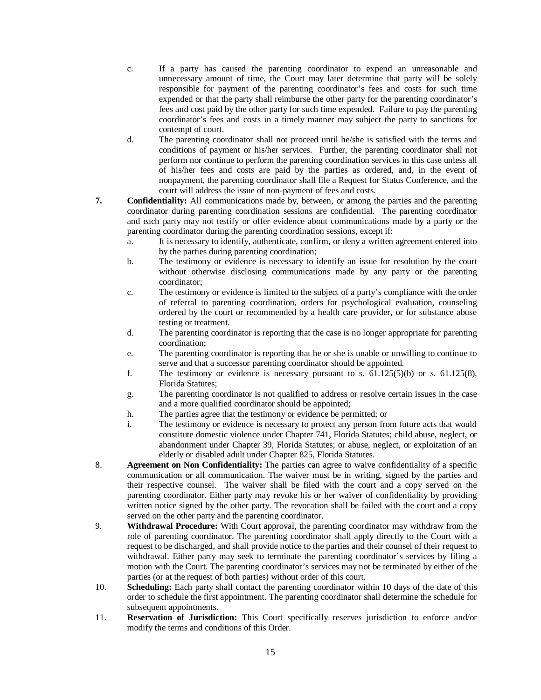- c. If a party has caused the parenting coordinator to expend an unreasonable and unnecessary amount of time, the Court may later determine that party will be solely responsible for payment of the parenting coordinator's fees and costs for such time expended or that the party shall reimburse the other party for the parenting coordinator's fees and cost paid by the other party for such time expended. Failure to pay the parenting coordinator's fees and costs in a timely manner may subject the party to sanctions for contempt of court.
- d. The parenting coordinator shall not proceed until he/she is satisfied with the terms and conditions of payment or his/her services. Further, the parenting coordinator shall not perform nor continue to perform the parenting coordination services in this case unless all of his/her fees and costs are paid by the parties as ordered, and, in the event of nonpayment, the parenting coordinator shall file a Request for Status Conference, and the court will address the issue of non-payment of fees and costs.
- **7. Confidentiality:** All communications made by, between, or among the parties and the parenting coordinator during parenting coordination sessions are confidential. The parenting coordinator and each party may not testify or offer evidence about communications made by a party or the parenting coordinator during the parenting coordination sessions, except if:
	- a. It is necessary to identify, authenticate, confirm, or deny a written agreement entered into by the parties during parenting coordination;
	- b. The testimony or evidence is necessary to identify an issue for resolution by the court without otherwise disclosing communications made by any party or the parenting coordinator;
	- c. The testimony or evidence is limited to the subject of a party's compliance with the order of referral to parenting coordination, orders for psychological evaluation, counseling ordered by the court or recommended by a health care provider, or for substance abuse testing or treatment.
	- d. The parenting coordinator is reporting that the case is no longer appropriate for parenting coordination;
	- e. The parenting coordinator is reporting that he or she is unable or unwilling to continue to serve and that a successor parenting coordinator should be appointed.
	- f. The testimony or evidence is necessary pursuant to s.  $61.125(5)(b)$  or s.  $61.125(8)$ , Florida Statutes;
	- g. The parenting coordinator is not qualified to address or resolve certain issues in the case and a more qualified coordinator should be appointed;
	- h. The parties agree that the testimony or evidence be permitted; or
	- i. The testimony or evidence is necessary to protect any person from future acts that would constitute domestic violence under Chapter 741, Florida Statutes; child abuse, neglect, or abandonment under Chapter 39, Florida Statutes; or abuse, neglect, or exploitation of an elderly or disabled adult under Chapter 825, Florida Statutes.
- 8. **Agreement on Non Confidentiality:** The parties can agree to waive confidentiality of a specific communication or all communication. The waiver must be in writing, signed by the parties and their respective counsel. The waiver shall be filed with the court and a copy served on the parenting coordinator. Either party may revoke his or her waiver of confidentiality by providing written notice signed by the other party. The revocation shall be failed with the court and a copy served on the other party and the parenting coordinator.
- 9. **Withdrawal Procedure:** With Court approval, the parenting coordinator may withdraw from the role of parenting coordinator. The parenting coordinator shall apply directly to the Court with a request to be discharged, and shall provide notice to the parties and their counsel of their request to withdrawal. Either party may seek to terminate the parenting coordinator's services by filing a motion with the Court. The parenting coordinator's services may not be terminated by either of the parties (or at the request of both parties) without order of this court.
- 10. **Scheduling:** Each party shall contact the parenting coordinator within 10 days of the date of this order to schedule the first appointment. The parenting coordinator shall determine the schedule for subsequent appointments.
- 11. **Reservation of Jurisdiction:** This Court specifically reserves jurisdiction to enforce and/or modify the terms and conditions of this Order.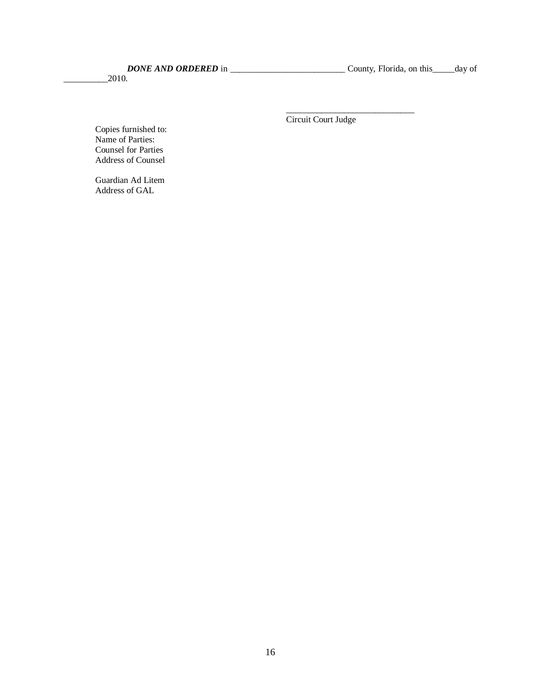Circuit Court Judge

\_\_\_\_\_\_\_\_\_\_\_\_\_\_\_\_\_\_\_\_\_\_\_\_\_\_\_\_\_

Copies furnished to: Name of Parties: Counsel for Parties Address of Counsel

Guardian Ad Litem Address of GAL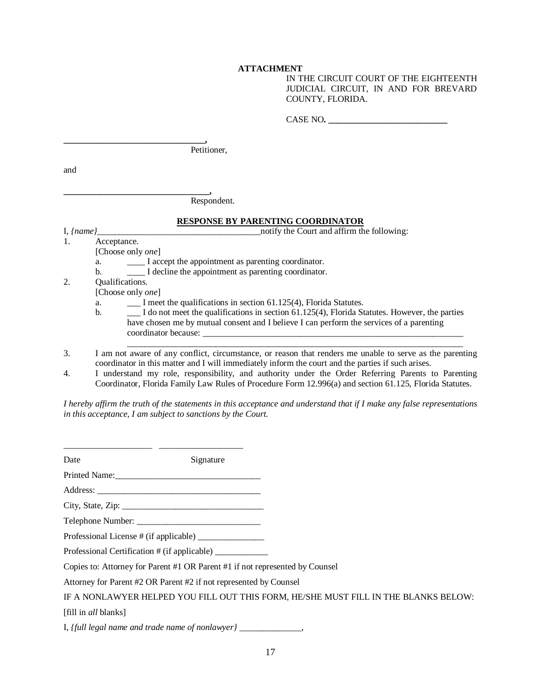IN THE CIRCUIT COURT OF THE EIGHTEENTH JUDICIAL CIRCUIT, IN AND FOR BREVARD COUNTY, FLORIDA.

CASE NO**. \_\_\_\_\_\_\_\_\_\_\_\_\_\_\_\_\_\_\_\_\_\_\_\_\_\_\_**

**\_\_\_\_\_\_\_\_\_\_\_\_\_\_\_\_\_\_\_\_\_\_\_\_\_\_\_\_\_\_\_\_,** Petitioner,

and

**\_\_\_\_\_\_\_\_\_\_\_\_\_\_\_\_\_\_\_\_\_\_\_\_\_\_\_\_\_\_\_\_\_,** Respondent.

#### **RESPONSE BY PARENTING COORDINATOR**

I, *{name}* The Court and affirm the following:

1. Acceptance.

[Choose only *one*]

a.  $\qquad \qquad \qquad \qquad$  I accept the appointment as parenting coordinator.

b.  $\Box$  I decline the appointment as parenting coordinator.

2. Qualifications.

[Choose only *one*]

a.  $\qquad \qquad$  I meet the qualifications in section 61.125(4), Florida Statutes.

- b. I do not meet the qualifications in section 61.125(4), Florida Statutes. However, the parties have chosen me by mutual consent and I believe I can perform the services of a parenting coordinator because:
- \_\_\_\_\_\_\_\_\_\_\_\_\_\_\_\_\_\_\_\_\_\_\_\_\_\_\_\_\_\_\_\_\_\_\_\_\_\_\_\_\_\_\_\_\_\_\_\_\_\_\_\_\_\_\_\_\_\_\_\_\_\_\_\_\_\_\_\_\_\_\_\_\_\_\_\_ 3. I am not aware of any conflict, circumstance, or reason that renders me unable to serve as the parenting coordinator in this matter and I will immediately inform the court and the parties if such arises.
- 4. I understand my role, responsibility, and authority under the Order Referring Parents to Parenting Coordinator, Florida Family Law Rules of Procedure Form 12.996(a) and section 61.125, Florida Statutes.

*I hereby affirm the truth of the statements in this acceptance and understand that if I make any false representations in this acceptance, I am subject to sanctions by the Court.*

| Date                 | Signature                                                                    |                                                                                     |
|----------------------|------------------------------------------------------------------------------|-------------------------------------------------------------------------------------|
|                      |                                                                              |                                                                                     |
|                      |                                                                              |                                                                                     |
|                      |                                                                              |                                                                                     |
|                      |                                                                              |                                                                                     |
|                      |                                                                              |                                                                                     |
|                      | Professional Certification # (if applicable) _____________                   |                                                                                     |
|                      | Copies to: Attorney for Parent #1 OR Parent #1 if not represented by Counsel |                                                                                     |
|                      | Attorney for Parent #2 OR Parent #2 if not represented by Counsel            |                                                                                     |
|                      |                                                                              | IF A NONLAWYER HELPED YOU FILL OUT THIS FORM, HE/SHE MUST FILL IN THE BLANKS BELOW: |
| [fill in all blanks] |                                                                              |                                                                                     |

I, *{full legal name and trade name of nonlawyer}* \_\_\_\_\_\_\_\_\_\_\_\_\_\_,